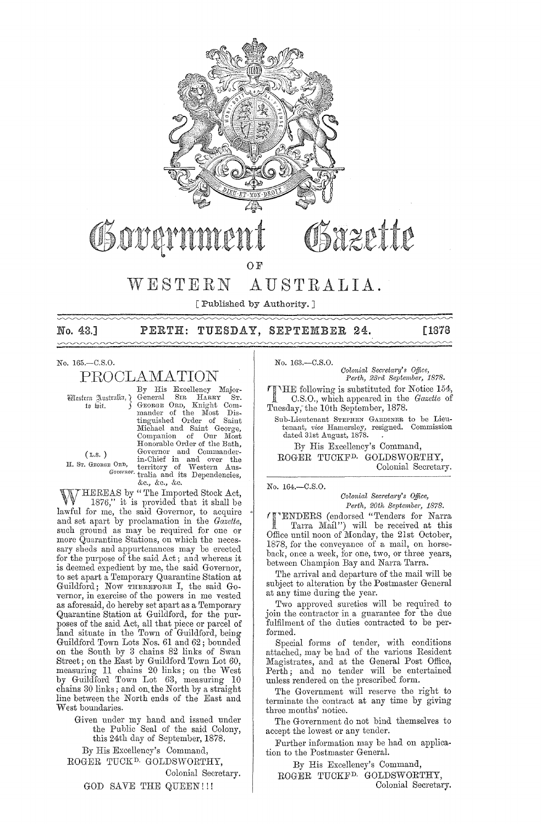

# Obover

OF

#### WESTERN AUSTRALIA.

[Published by Authority.]

No. 43.]  $\sim$ 

# PERTH: TUESDAY, SEPTEMBER 24.

[1878

## No. 165.-C.S.O.

# PROCLAMATION

Western Australia, ¿ to wit.

By His Excellency Major-By HIS EXEMBRY BIGGERS STRAKER STRAKER STRAKER STRAKER STRAKER STRAKER STRAKER STRAKER STRAKER STRAKER STRAKER STRAKER STRAKER STRAKER STRAKER STRAKER STRAKER STRAKER STRAKER STRAKER STRAKER STRAKER STRAKER STRAKER STRAKER  $\rm S_{\rm IR}$ Michael and Saint George, Companion of Our Most<br>Honorable Order of the Bath, Governor and Commander-<br>
in-Chief in and over the<br>
E ORD, in-Chief in and over the<br>
Governor tralia and its Dependencies, &c., &c., &c.

 $(L,s.)$ H. ST. GEORGE ORD,

THEREAS by "The Imported Stock Act, W 1876," it is provided that it shall be<br>lawful for me, the said Governor, to acquire and set apart by proclamation in the Gazette, such ground as may be required for one or more Quarantine Stations, on which the necessary sheds and appurtenances may be erected for the purpose of the said Act; and whereas it is deemed expedient by me, the said Governor, to set apart a Temporary Quarantine Station at Guildford; Now THEREFORE I, the said Governor, in exercise of the powers in me vested as aforesaid, do hereby set apart as a Temporary<br>Quarantine Station at Guildford, for the purposes of the said Act, all that piece or parcel of land situate in the Town of Guildford, being Guildford Town Lots Nos. 61 and 62; bounded on the South by 3 chains 82 links of Swan Street; on the East by Guildford Town Lot 60,<br>measuring 11 chains 20 links; on the West<br>by Guildford Town Lot 63, measuring 10 chains 30 links; and on the North by a straight line between the North ends of the East and West boundaries

Given under my hand and issued under<br>the Public Seal of the said Colony, this 24th day of September, 1878.

By His Excellency's Command, ROGER TUCK<sup>D.</sup> GOLDSWORTHY,

Colonial Secretary.

GOD SAVE THE QUEEN!!!

No. 163 .- C.S.O. Colonial Secretary's Office, Perth, 23rd September, 1878.

THE following is substituted for Notice 154,<br>C.S.O., which appeared in the *Gazette* of Tuesday, the 10th September, 1878.

Sub-Lieutenant STEPHEN GARDINER to be Lieutenant, vice Hamersley, resigned. Commission dated 31st August, 1878.

By His Excellency's Command, ROGER TUCKF<sup>D.</sup> GOLDSWORTHY, Colonial Secretary.

No. 164,-C.S.O.

#### Colonial Secretary's Office, Perth, 20th September, 1878.

"ENDERS (endorsed "Tenders for Narra Tarra Mail") will be received at this Office until noon of Monday, the 21st October, 1878, for the conveyance of a mail, on horseback, once a week, for one, two, or three years, between Champion Bay and Narra Tarra.

The arrival and departure of the mail will be subject to alteration by the Postmaster General at any time during the year.

Two approved sureties will be required to join the contractor in a guarantee for the due fulfilment of the duties contracted to be performed.

Special forms of tender, with conditions attached, may be had of the various Resident Magistrates, and at the General Post Office, Perth; and no tender will be entertained unless rendered on the prescribed form.

The Government will reserve the right to terminate the contract at any time by giving three months' notice.

The Government do not bind themselves to accept the lowest or any tender.

Further information may be had on application to the Postmaster General.

By His Excellency's Command, ROGER TUCKF<sup>D.</sup> GOLDSWORTHY,

Colonial Secretary.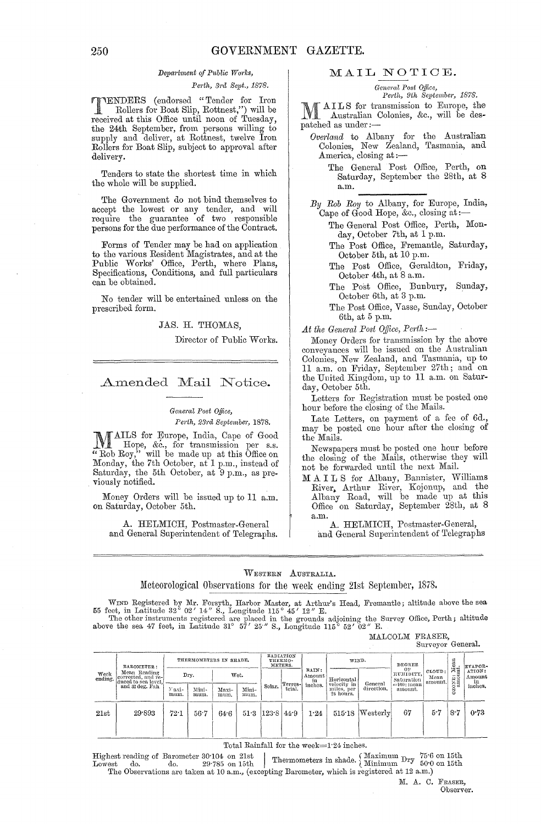#### *Department of Public Works,*

#### *Pej'th, 3j'a Sept., 1878.*

**TTENDERS** (endorsed "Tender for Iron<br>
Rollers for Boat Slip, Rottnest,") will be<br>
received at this Office until near of Tuesday received at this Office until noon of Tuesday, the 24th September, from persons willing to supply and deliver, at Rottnest, twelve Iron Rollers for Boat Slip, subject to approval after delivery.

Tenders to state the shortest time in which the whole will be supplied.

The Government do not bind themselves to accept the lowest or any tender, and will require the guarantee of two responsible persons for the due performance of the Contract.

Forms of Tender may be had on application to the various Resident Magistrates, and at the Public Works' Office, Perth, where Plans, Specifications, Conditions, and full particulars can be obtained.

No tender will be entertained unless on the prescribed form.

#### JAS. H. THOMAS.

Director of Public Works.

# Amended Mail Notice.

#### $General$  *Post Office,*

#### *Path, 23j'a September, 1878.*

1\ !rAILS for Europe, India, Cape of Good  $\mathbf{I} \subseteq \mathbb{R}$  Hope, &c., for transmission per s.s. "Rob Roy," will be made up at this Office on Monday, the 7th October, at 1 p.m., instead of Saturday, the 5th October, at 9 p.m., as previously notified.

Money Orders will be issued up to 11 a.m. on Saturday, October 5th.

A. HELMICH, Postmaster-General and General Superintendent of Telegraphs.

# MAIL NOTIOE.

#### $General$  *Post Office,*

Perth, 9th September, 1878.

M AILS for transmission to Europe, the<br>
M Australian Colonies, &c., will be des-Australian Colonies, &c., will be despatched as under ;-

- *Overland* to Albany for the Australian Colonies, New Zealand, Tasmania, and
	- America, closing at :---<br>The General Post Office, Perth, on Saturday, September the 28th, at 8 a.m.

*By Rob Ray* to Albany, for Europe, India, Cape of Good Hope, &c., closing at:-

- The General Post Office, Perth, Monday, October 7th, at 1 p.m.
- The Post Office, Fremantle, Saturday, October 5th, at 10 p.m.
- The Post Office, Geraldton, Friday, October 4th, at 8 a.m.
- The Post Office, Bunbury, Sunday, October 6th, at 3 p.m.
- The Post Office, Vasse, Sunday, October Bth, at 5 p.m.

At the General Post Office, Perth;-

Money Orders for transmission by the above conveyances will be issued on the Australian Colonies, New Zealand, and Tasmania, up to 11 a.m. on Friday, September 27th; and on the United Kingdom, up to 11 a.m. on Saturday, October 5th.

Letters for Registration must be posted one hour before the closing of the Mails.

Late Letters, on payment of a fee of  $6d$ . may be posted one hour after the closing of the Mails.

Newspapers must be posted one hour before the closing of the Mails, otherwise they will not be forwarded until the next Mail.

M A I L S for Albany, Bannister, Williams River, Arthur River, Kojonup, and the Albany Road, will be made up at this Office on Saturday, September 28th, at 8

a.m. A. HELMICH, Postmaster-General, and General Superintendent of Telegraphs

#### WESTERN AUSTRALIA.

# Meteorological Observations for the week ending 21st September, 1878.

WIND Registered by Mr. Forsyth, Harbor Master, at Arthur's Head, Fremantle; altitude above the sea 55 feet, in Latitude 32° 02' 14" S., Longitude 115° 45' 12" E.<br>The other instruments registered are placed in the grounds

MALCOLM FRASER,

|                 |                                                                                             |                        |               |               |               |                                 |                   |                       |                                        |                     |                                              | Surveyor General.           |                 |                                                        |
|-----------------|---------------------------------------------------------------------------------------------|------------------------|---------------|---------------|---------------|---------------------------------|-------------------|-----------------------|----------------------------------------|---------------------|----------------------------------------------|-----------------------------|-----------------|--------------------------------------------------------|
| Week<br>ending. | BAROMETER:<br>Mean Reading<br>corrected, and re-<br>duced to sea level,<br>and 32 deg. Fah. | THERMOMETERS IN SHADE. |               |               |               | RADIATION<br>THERMO-<br>METERS. |                   |                       | WIND.                                  |                     | DEGREE                                       |                             | Mean<br>nt      | EVAPOR-                                                |
|                 |                                                                                             | Dry.                   |               | Wet.          |               |                                 |                   | RAIN:<br>Amount<br>in | Horizontal                             | General             | OF<br>HUMIDITY,<br>Saturation<br>==100: mean | CLOUD:<br>Mean<br>' amount. | ≒…              | ATION:<br>Amount<br>$\frac{\text{in}}{\text{inches.}}$ |
|                 |                                                                                             | Naxi-<br>mum.          | Mini-<br>mum. | Maxi-<br>mum. | Mini-<br>mum. | Solar.                          | Terres-<br>trial. | inches.               | velocity in<br>miles, per<br>24 hours. | direction,          | amount.                                      |                             | OZONE:<br>amoro |                                                        |
| 21st            | 29.893                                                                                      | 72.1                   | 56.7          | 64.6          |               | $51.3$ $123.8$ $44.9$           |                   | 1.24                  | 515.18                                 | $ \text{Westerlv} $ | 67                                           | 5.7                         | 8·7             | 0.73                                                   |

Total Rainfall for the week=1:24 inches.

Total Rainfall for the week=1.24 inches.<br>
Highest reading of Barometer 30.104 on 21st<br>
Lowest do. 29.785 on 15th Thermometers in shade. Minimum Dry 50.0 on 15th Lowest do. do. 29.785 on 15th Thermometers in shade. Minimum  $\frac{\text{Ury}}{50.0}$  The Observations are taken at 10 a.m., (excepting Barometer, which is registered at 12 a.m.)

M. A. C. FRASER, Observer.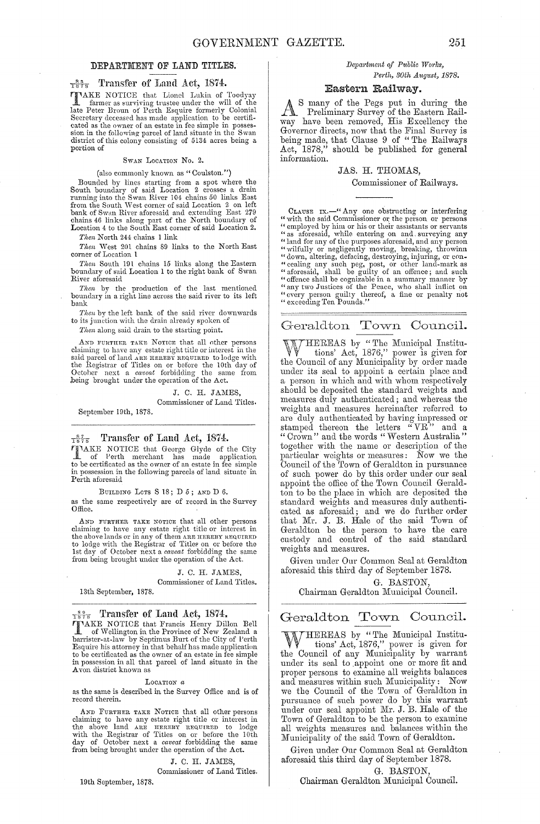#### DEPARTMENT OF LAND TITLES.

# $\frac{85}{1878}$  Transfer of Land Act, 1874.

**TAKE NOTICE** that Lionel Lukin of Toodyay<br>
farmer as surviving trustee under the will of the<br>
late Peter Broun of Perth Esquire formerly Colonial Secretary deceased has made application to be certificated as the owner of an estate in fee simple in posses-<br>sion in the following parcel of land situate in the Swan<br>district of this colony consisting of 5134 acres being portion of

#### SWAN LOCATION No. 2.

(also commonly known as "Coulston.")

Bounded by lines starting from a spot where the<br>South boundary of said Location 2 crosses a drain<br>running into the Swan River 104 chains 50 links East<br>from the South West corner of said Location 2 on left<br>bank of Swan Rive

*Then* North 244 chains 1 link

*Then* West 201 chains 89 links to the North East corner of Location 1

*Then* South 191 chains 15 links along the Eastem boundary of said Location 1 to the right bank of Swan River aforesaid

*Then* by the production of the last mentioned boundary in a right line across the said river to its left bank

*Then* by the left bank of the said river downwards to its junction with the drain already spoken of

Then along said drain to the starting point.

AND FURTHER TAKE NOTICE that all other persons<br>claiming to have any estate right title or interest in the<br>said pareel of land ARE HERENT REQUIRED to lodge with<br>the Registrar of Titles on or before the 10th day of<br>October n

J. C. H. JAMES. Commissioner of Land Titles.

September 19th, 1878.

#### $\frac{87}{1878}$  Transfer of Land Act, 1874.

**TIMAKE NOTICE** that George Glyde of the City of Perth merchant has made application to be certificated as the owner of an estate in fee simple in possession in the following parcels of land situate in Perth aforesaid

BUILDING LOTS S 18; D 5; AND D 6. as the same respectively are of record in the Survey Office.

AND FURTHER TAKE NOTICE that all other persons claiming to have any estate right title or interest in the above lands or in any of them ARE HEREBY REQUIRED to lodge with the Registrar of Titlee on or before the 1st day of October next a *caveat* forbidding thc same from being brought under the operation of the Act.

> J. C. H. JAMES. Commissioner of Land Titles.

13th September, 1878.

#### $\frac{89}{1878}$  Transfer of Land Act, 1874.

TAKE NOTICE that Francis Henry Dillon Bell<br>of Wellington in the Province of New Zealand a<br>barrister-at-law by Septimus Burt of the City of Perth<br>Esquire his attorney in that behalf has made application<br>to be certificated a A yon district known as

#### LOCATION *a*

as the same is described in the Survey Office and is of record therein.

AND FURTHER TAKE NOTICE that all other persons claiming to have any estate right title or interest in<br>the above land ARB HEREBY REQUIRED to lodge<br>with the Registrar of Titles on or before the 10th<br>day of October next a *caveat* forbidding the same<br>from being brought un

J. C. H. JAMES,

19th September, 1878. Commissioner of Land Titles. *Department of Public Works, Perth, 30th August, 1878.* 

#### Eastern Railway.

As many of the Pegs put in during the Preliminary Survey of the Eastern Railway have been removed, His Excellency the Goyernor directs, now that the Final Survey is being made, that Clause 9 of "The Railways Act, 1878," should be published for general information.

#### JAS. H. THOMAS,

Commissioner of Railways.

CLAUSE IX.—" Any one obstructing or interfering<br>"with the said Commissioner or the person or persons<br>"employed by him or his or their assistants or servants<br>"as aforesaid, while entering on and surveying any<br>"land for any "wilfully or negligently moving, breaking, throwinn<br>"down, altering, defacing, destroying, injuring, or com-<br>"cealing any such peg, post, or other land-mark as<br>"aforesaid, shall be guilty of an offence; and such<br>"offence s

# Geraldton Town Council.

W HEREAS by "The Municipal Institu-<br>W tions' Act, 1876," power is given for the Council of any Municipality by order made under its seal to appoint a certain place and a person in which and with whom respectively should be deposited the standard weights and measures duly authenticated; and whereas the weights and measures hereinafter referred to are duly authenticated by having impressed or stamped thereon the letters "VR" and a " Crown" and the words "Western Australia" together with the name or description of the particular weights or measures: Now we the Council of the Town of Geraldton in pursuance of such power do by this order under our seal appoint the office of the Town Council Geraldton to be the place in which are deposited the standard weights and measures duly authenticated as aforesaid; and we do further order that Mr. J. B. Hale of the said Town of Geraldton be the person to have the care custody and control of the said standard weights and measures.

GiYen under Our Common Seal at Geraldton aforesaid this third day of September 1878.

G. BASTON

Chairman Geraldton Municipal Council.

# Geraldton Town Council.

WHEREAS by "The Municipal Institu- $W$  tions' Act, 1876," power is given for the Council of any Municipality by warrant under its seal to appoint one or more fit and proper persons to examine all weights balances and measures within such Municipality: Now we the Council of the Town of Geraldton in pursuance of such power do by this warrant under our seal appoint Mr. J. B. Hale of the Town of Geraldton to be the person to examine all weights measures and balances within the Municipality of the said Town of Geraldton.

Given under Our Common Seal at Geraldton aforesaid this third day of September 1878.

G. BASTON,

Chairman Geraldton Municipal Council.